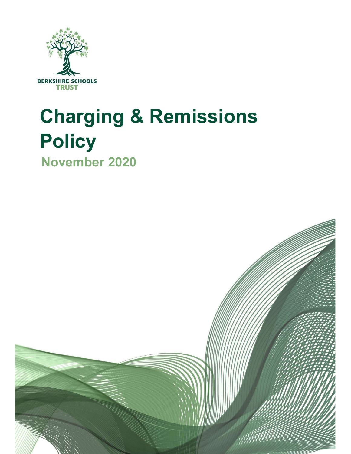

# Charging & Remissions **Policy** November 2020

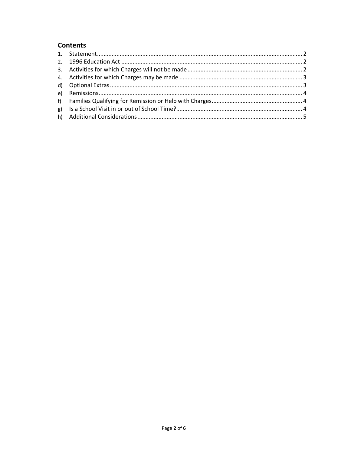# **Contents**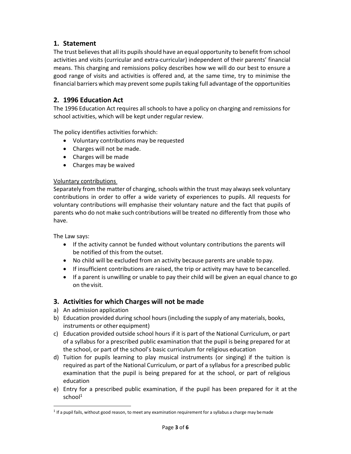# 1. Statement

The trust believes that all its pupils should have an equal opportunity to benefit from school activities and visits (curricular and extra-curricular) independent of their parents' financial means. This charging and remissions policy describes how we will do our best to ensure a good range of visits and activities is offered and, at the same time, try to minimise the financial barriers which may prevent some pupils taking full advantage of the opportunities

# 2. 1996 Education Act

The 1996 Education Act requires all schools to have a policy on charging and remissions for school activities, which will be kept under regular review.

The policy identifies activities for which:

- Voluntary contributions may be requested
- Charges will not be made.
- Charges will be made
- Charges may be waived

# Voluntary contributions

Separately from the matter of charging, schools within the trust may always seek voluntary contributions in order to offer a wide variety of experiences to pupils. All requests for voluntary contributions will emphasise their voluntary nature and the fact that pupils of parents who do not make such contributions will be treated no differently from those who have.

The Law says:

- If the activity cannot be funded without voluntary contributions the parents will be notified of this from the outset.
- No child will be excluded from an activity because parents are unable to pay.
- If insufficient contributions are raised, the trip or activity may have to be cancelled.
- If a parent is unwilling or unable to pay their child will be given an equal chance to go on the visit.

# 3. Activities for which Charges will not be made

- a) An admission application
- b) Education provided during school hours (including the supply of any materials, books, instruments or other equipment)
- c) Education provided outside school hours if it is part of the National Curriculum, or part of a syllabus for a prescribed public examination that the pupil is being prepared for at the school, or part of the school's basic curriculum for religious education
- d) Tuition for pupils learning to play musical instruments (or singing) if the tuition is required as part of the National Curriculum, or part of a syllabus for a prescribed public examination that the pupil is being prepared for at the school, or part of religious education
- e) Entry for a prescribed public examination, if the pupil has been prepared for it at the  $school<sup>1</sup>$

<sup>&</sup>lt;sup>1</sup> If a pupil fails, without good reason, to meet any examination requirement for a syllabus a charge may be made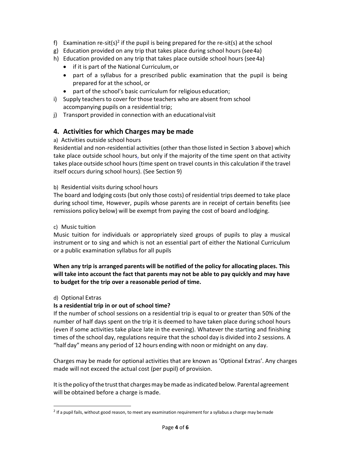- f) Examination re-sit(s)<sup>2</sup> if the pupil is being prepared for the re-sit(s) at the school
- g) Education provided on any trip that takes place during school hours (see 4a)
- h) Education provided on any trip that takes place outside school hours (see 4a)
	- if it is part of the National Curriculum, or
	- part of a syllabus for a prescribed public examination that the pupil is being prepared for at the school, or
	- part of the school's basic curriculum for religious education;
- i) Supply teachers to cover for those teachers who are absent from school accompanying pupils on a residential trip;
- j) Transport provided in connection with an educational visit

# 4. Activities for which Charges may be made

# a) Activities outside school hours

Residential and non-residential activities (other than those listed in Section 3 above) which take place outside school hours, but only if the majority of the time spent on that activity takes place outside school hours (time spent on travel counts in this calculation if the travel itself occurs during school hours). (See Section 9)

# b) Residential visits during school hours

The board and lodging costs (but only those costs) of residential trips deemed to take place during school time, However, pupils whose parents are in receipt of certain benefits (see remissions policy below) will be exempt from paying the cost of board and lodging.

#### c) Music tuition

Music tuition for individuals or appropriately sized groups of pupils to play a musical instrument or to sing and which is not an essential part of either the National Curriculum or a public examination syllabus for all pupils

When any trip is arranged parents will be notified of the policy for allocating places. This will take into account the fact that parents may not be able to pay quickly and may have to budget for the trip over a reasonable period of time.

# d) Optional Extras

# Is a residential trip in or out of school time?

If the number of school sessions on a residential trip is equal to or greater than 50% of the number of half days spent on the trip it is deemed to have taken place during school hours (even if some activities take place late in the evening). Whatever the starting and finishing times of the school day, regulations require that the school day is divided into 2 sessions. A "half day" means any period of 12 hours ending with noon or midnight on any day.

Charges may be made for optional activities that are known as 'Optional Extras'. Any charges made will not exceed the actual cost (per pupil) of provision.

It is the policy of the trust that charges may be made as indicated below. Parental agreement will be obtained before a charge is made.

<sup>&</sup>lt;sup>2</sup> If a pupil fails, without good reason, to meet any examination requirement for a syllabus a charge may be made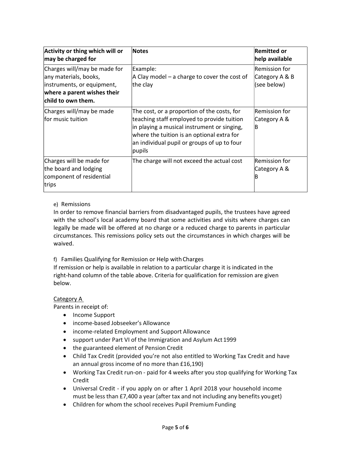| Activity or thing which will or<br>may be charged for                                                                                    | Notes                                                                                                                                                                                                                                           | <b>Remitted or</b><br>help available           |
|------------------------------------------------------------------------------------------------------------------------------------------|-------------------------------------------------------------------------------------------------------------------------------------------------------------------------------------------------------------------------------------------------|------------------------------------------------|
| Charges will/may be made for<br>any materials, books,<br>instruments, or equipment,<br>where a parent wishes their<br>child to own them. | Example:<br>$ A \cap B $ a charge to cover the cost of<br>the clay                                                                                                                                                                              | Remission for<br>Category A & B<br>(see below) |
| Charges will/may be made<br>lfor music tuition                                                                                           | The cost, or a proportion of the costs, for<br>teaching staff employed to provide tuition<br>in playing a musical instrument or singing,<br>where the tuition is an optional extra for<br>an individual pupil or groups of up to four<br>pupils | Remission for<br>Category A &<br>B             |
| Charges will be made for<br>the board and lodging<br>component of residential<br>trips                                                   | The charge will not exceed the actual cost                                                                                                                                                                                                      | Remission for<br>Category A &<br>В             |

# e) Remissions

In order to remove financial barriers from disadvantaged pupils, the trustees have agreed with the school's local academy board that some activities and visits where charges can legally be made will be offered at no charge or a reduced charge to parents in particular circumstances. This remissions policy sets out the circumstances in which charges will be waived.

f) Families Qualifying for Remission or Help with Charges

If remission or help is available in relation to a particular charge it is indicated in the right-hand column of the table above. Criteria for qualification for remission are given below.

# Category A

Parents in receipt of:

- Income Support
- income-based Jobseeker's Allowance
- income-related Employment and Support Allowance
- support under Part VI of the Immigration and Asylum Act 1999
- the guaranteed element of Pension Credit
- Child Tax Credit (provided you're not also entitled to Working Tax Credit and have an annual gross income of no more than £16,190)
- Working Tax Credit run-on paid for 4 weeks after you stop qualifying for Working Tax Credit
- Universal Credit if you apply on or after 1 April 2018 your household income must be less than £7,400 a year (after tax and not including any benefits you get)
- Children for whom the school receives Pupil Premium Funding